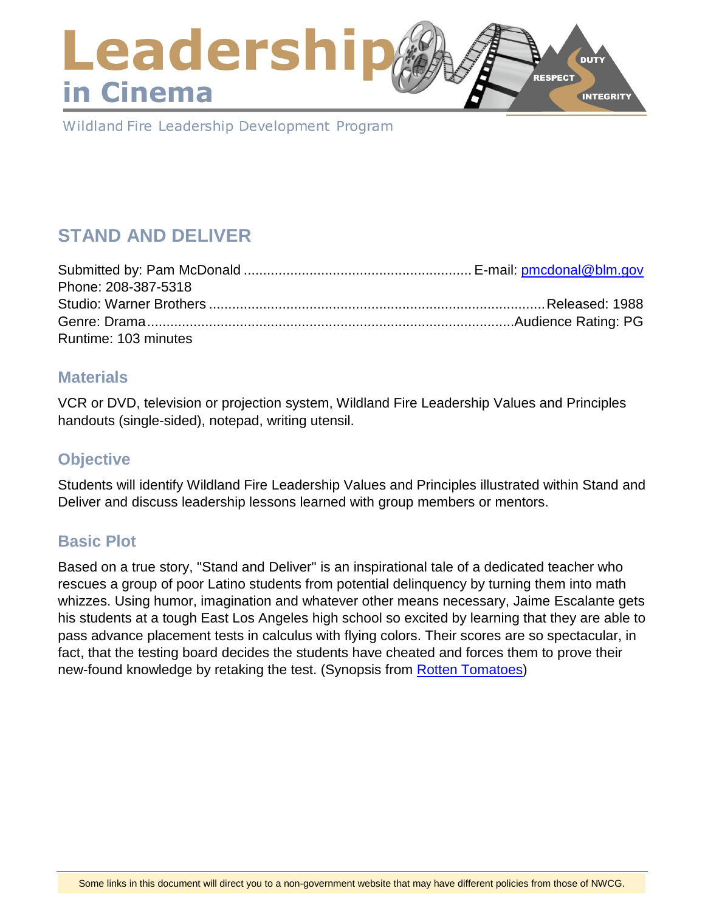### Leadershi **DUTY RESPECT** in Cinema **INTEGRITY**

Wildland Fire Leadership Development Program

# **STAND AND DELIVER**

| Phone: 208-387-5318  |  |
|----------------------|--|
|                      |  |
|                      |  |
| Runtime: 103 minutes |  |

### **Materials**

VCR or DVD, television or projection system, Wildland Fire Leadership Values and Principles handouts (single-sided), notepad, writing utensil.

# **Objective**

Students will identify Wildland Fire Leadership Values and Principles illustrated within Stand and Deliver and discuss leadership lessons learned with group members or mentors.

# **Basic Plot**

Based on a true story, "Stand and Deliver" is an inspirational tale of a dedicated teacher who rescues a group of poor Latino students from potential delinquency by turning them into math whizzes. Using humor, imagination and whatever other means necessary, Jaime Escalante gets his students at a tough East Los Angeles high school so excited by learning that they are able to pass advance placement tests in calculus with flying colors. Their scores are so spectacular, in fact, that the testing board decides the students have cheated and forces them to prove their new-found knowledge by retaking the test. (Synopsis from [Rotten Tomatoes\)](https://www.rottentomatoes.com/)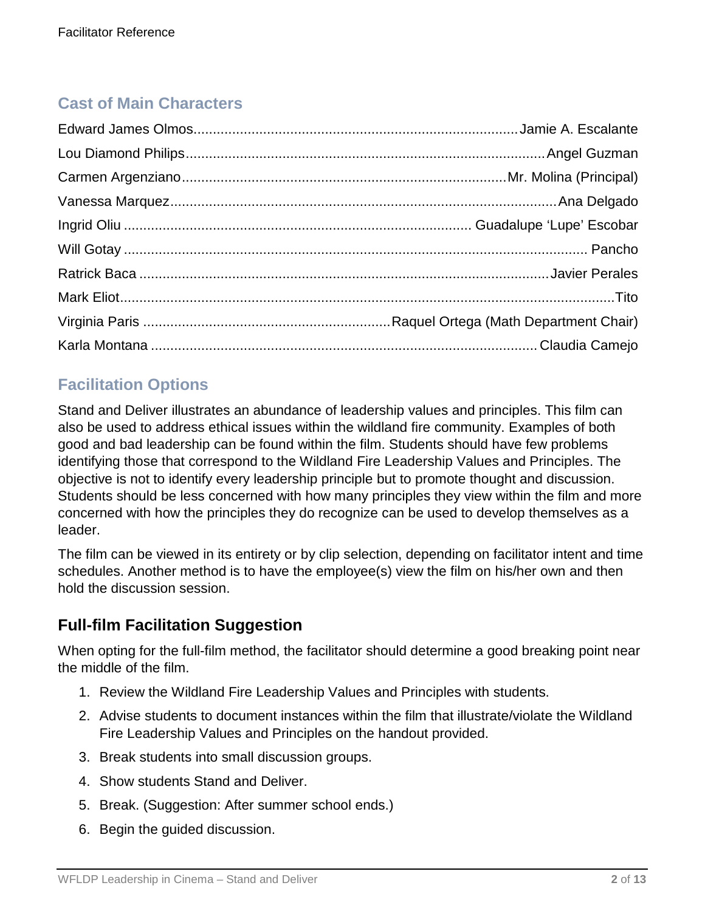# **Cast of Main Characters**

# **Facilitation Options**

Stand and Deliver illustrates an abundance of leadership values and principles. This film can also be used to address ethical issues within the wildland fire community. Examples of both good and bad leadership can be found within the film. Students should have few problems identifying those that correspond to the Wildland Fire Leadership Values and Principles. The objective is not to identify every leadership principle but to promote thought and discussion. Students should be less concerned with how many principles they view within the film and more concerned with how the principles they do recognize can be used to develop themselves as a leader.

The film can be viewed in its entirety or by clip selection, depending on facilitator intent and time schedules. Another method is to have the employee(s) view the film on his/her own and then hold the discussion session.

# **Full-film Facilitation Suggestion**

When opting for the full-film method, the facilitator should determine a good breaking point near the middle of the film.

- 1. Review the Wildland Fire Leadership Values and Principles with students.
- 2. Advise students to document instances within the film that illustrate/violate the Wildland Fire Leadership Values and Principles on the handout provided.
- 3. Break students into small discussion groups.
- 4. Show students Stand and Deliver.
- 5. Break. (Suggestion: After summer school ends.)
- 6. Begin the guided discussion.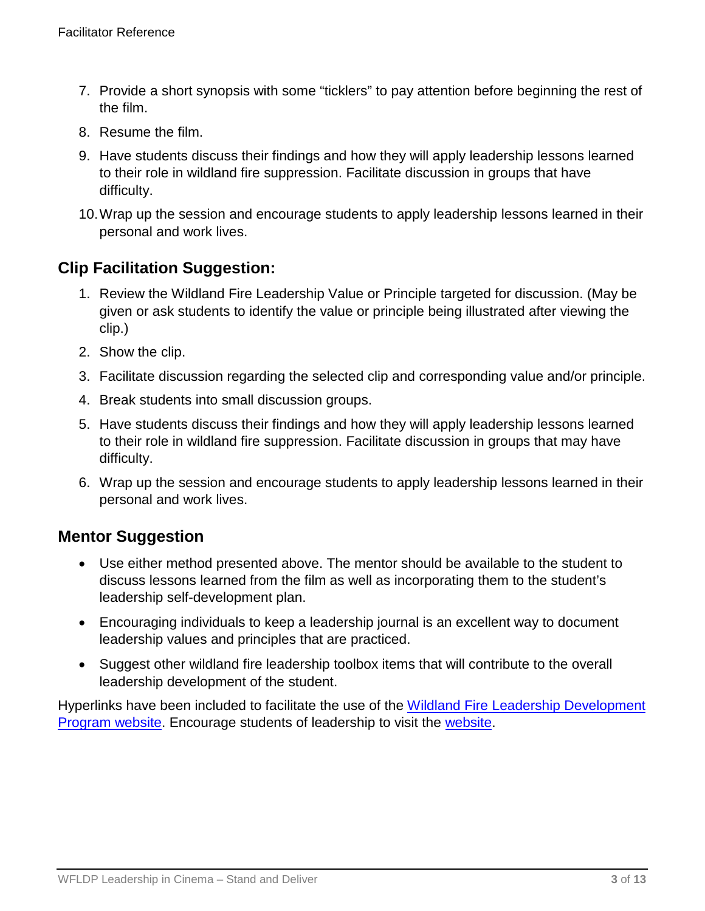- 7. Provide a short synopsis with some "ticklers" to pay attention before beginning the rest of the film.
- 8. Resume the film.
- 9. Have students discuss their findings and how they will apply leadership lessons learned to their role in wildland fire suppression. Facilitate discussion in groups that have difficulty.
- 10.Wrap up the session and encourage students to apply leadership lessons learned in their personal and work lives.

# **Clip Facilitation Suggestion:**

- 1. Review the Wildland Fire Leadership Value or Principle targeted for discussion. (May be given or ask students to identify the value or principle being illustrated after viewing the clip.)
- 2. Show the clip.
- 3. Facilitate discussion regarding the selected clip and corresponding value and/or principle.
- 4. Break students into small discussion groups.
- 5. Have students discuss their findings and how they will apply leadership lessons learned to their role in wildland fire suppression. Facilitate discussion in groups that may have difficulty.
- 6. Wrap up the session and encourage students to apply leadership lessons learned in their personal and work lives.

## **Mentor Suggestion**

- Use either method presented above. The mentor should be available to the student to discuss lessons learned from the film as well as incorporating them to the student's leadership self-development plan.
- Encouraging individuals to keep a leadership journal is an excellent way to document leadership values and principles that are practiced.
- Suggest other wildland fire leadership toolbox items that will contribute to the overall leadership development of the student.

Hyperlinks have been included to facilitate the use of the [Wildland Fire Leadership Development](https://www.fireleadership.gov/)  [Program website.](https://www.fireleadership.gov/) Encourage students of leadership to visit the [website.](https://www.fireleadership.gov/)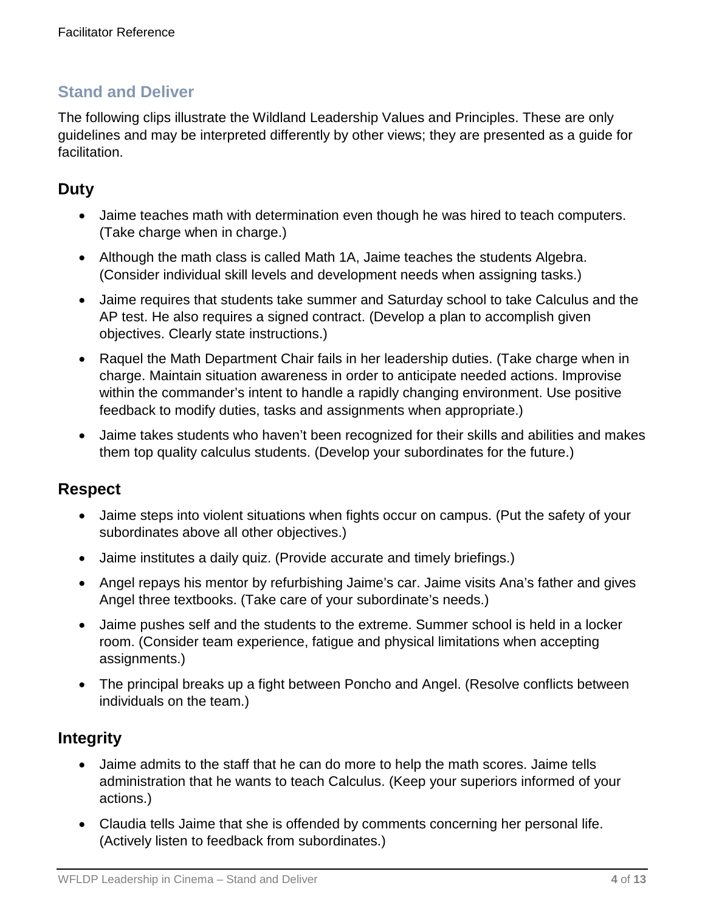The following clips illustrate the Wildland Leadership Values and Principles. These are only guidelines and may be interpreted differently by other views; they are presented as a guide for facilitation.

# **Duty**

- Jaime teaches math with determination even though he was hired to teach computers. (Take charge when in charge.)
- Although the math class is called Math 1A, Jaime teaches the students Algebra. (Consider individual skill levels and development needs when assigning tasks.)
- Jaime requires that students take summer and Saturday school to take Calculus and the AP test. He also requires a signed contract. (Develop a plan to accomplish given objectives. Clearly state instructions.)
- Raquel the Math Department Chair fails in her leadership duties. (Take charge when in charge. Maintain situation awareness in order to anticipate needed actions. Improvise within the commander's intent to handle a rapidly changing environment. Use positive feedback to modify duties, tasks and assignments when appropriate.)
- Jaime takes students who haven't been recognized for their skills and abilities and makes them top quality calculus students. (Develop your subordinates for the future.)

## **Respect**

- Jaime steps into violent situations when fights occur on campus. (Put the safety of your subordinates above all other objectives.)
- Jaime institutes a daily quiz. (Provide accurate and timely briefings.)
- Angel repays his mentor by refurbishing Jaime's car. Jaime visits Ana's father and gives Angel three textbooks. (Take care of your subordinate's needs.)
- Jaime pushes self and the students to the extreme. Summer school is held in a locker room. (Consider team experience, fatigue and physical limitations when accepting assignments.)
- The principal breaks up a fight between Poncho and Angel. (Resolve conflicts between individuals on the team.)

## **Integrity**

- Jaime admits to the staff that he can do more to help the math scores. Jaime tells administration that he wants to teach Calculus. (Keep your superiors informed of your actions.)
- Claudia tells Jaime that she is offended by comments concerning her personal life. (Actively listen to feedback from subordinates.)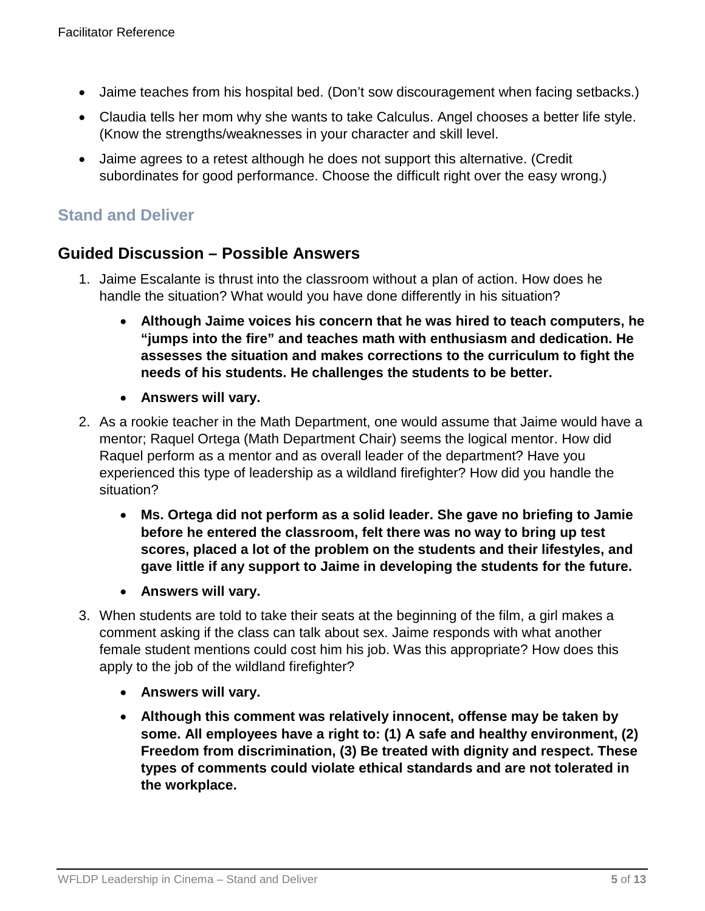- Jaime teaches from his hospital bed. (Don't sow discouragement when facing setbacks.)
- Claudia tells her mom why she wants to take Calculus. Angel chooses a better life style. (Know the strengths/weaknesses in your character and skill level.
- Jaime agrees to a retest although he does not support this alternative. (Credit subordinates for good performance. Choose the difficult right over the easy wrong.)

### **Guided Discussion – Possible Answers**

- 1. Jaime Escalante is thrust into the classroom without a plan of action. How does he handle the situation? What would you have done differently in his situation?
	- **Although Jaime voices his concern that he was hired to teach computers, he "jumps into the fire" and teaches math with enthusiasm and dedication. He assesses the situation and makes corrections to the curriculum to fight the needs of his students. He challenges the students to be better.**
	- **Answers will vary.**
- 2. As a rookie teacher in the Math Department, one would assume that Jaime would have a mentor; Raquel Ortega (Math Department Chair) seems the logical mentor. How did Raquel perform as a mentor and as overall leader of the department? Have you experienced this type of leadership as a wildland firefighter? How did you handle the situation?
	- **Ms. Ortega did not perform as a solid leader. She gave no briefing to Jamie before he entered the classroom, felt there was no way to bring up test scores, placed a lot of the problem on the students and their lifestyles, and gave little if any support to Jaime in developing the students for the future.**
	- **Answers will vary.**
- 3. When students are told to take their seats at the beginning of the film, a girl makes a comment asking if the class can talk about sex. Jaime responds with what another female student mentions could cost him his job. Was this appropriate? How does this apply to the job of the wildland firefighter?
	- **Answers will vary.**
	- **Although this comment was relatively innocent, offense may be taken by some. All employees have a right to: (1) A safe and healthy environment, (2) Freedom from discrimination, (3) Be treated with dignity and respect. These types of comments could violate ethical standards and are not tolerated in the workplace.**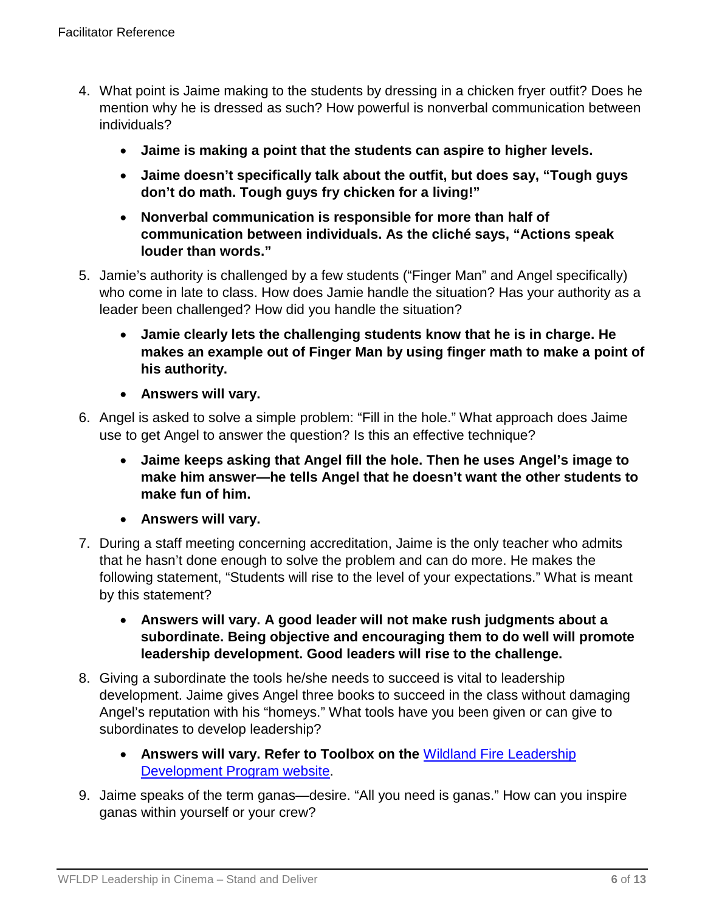- 4. What point is Jaime making to the students by dressing in a chicken fryer outfit? Does he mention why he is dressed as such? How powerful is nonverbal communication between individuals?
	- **Jaime is making a point that the students can aspire to higher levels.**
	- **Jaime doesn't specifically talk about the outfit, but does say, "Tough guys don't do math. Tough guys fry chicken for a living!"**
	- **Nonverbal communication is responsible for more than half of communication between individuals. As the cliché says, "Actions speak louder than words."**
- 5. Jamie's authority is challenged by a few students ("Finger Man" and Angel specifically) who come in late to class. How does Jamie handle the situation? Has your authority as a leader been challenged? How did you handle the situation?
	- **Jamie clearly lets the challenging students know that he is in charge. He makes an example out of Finger Man by using finger math to make a point of his authority.**
	- **Answers will vary.**
- 6. Angel is asked to solve a simple problem: "Fill in the hole." What approach does Jaime use to get Angel to answer the question? Is this an effective technique?
	- **Jaime keeps asking that Angel fill the hole. Then he uses Angel's image to make him answer—he tells Angel that he doesn't want the other students to make fun of him.**
	- **Answers will vary.**
- 7. During a staff meeting concerning accreditation, Jaime is the only teacher who admits that he hasn't done enough to solve the problem and can do more. He makes the following statement, "Students will rise to the level of your expectations." What is meant by this statement?
	- **Answers will vary. A good leader will not make rush judgments about a subordinate. Being objective and encouraging them to do well will promote leadership development. Good leaders will rise to the challenge.**
- 8. Giving a subordinate the tools he/she needs to succeed is vital to leadership development. Jaime gives Angel three books to succeed in the class without damaging Angel's reputation with his "homeys." What tools have you been given or can give to subordinates to develop leadership?
	- **Answers will vary. Refer to Toolbox on the** [Wildland Fire Leadership](https://www.fireleadership.gov/)  [Development Program website.](https://www.fireleadership.gov/)
- 9. Jaime speaks of the term ganas—desire. "All you need is ganas." How can you inspire ganas within yourself or your crew?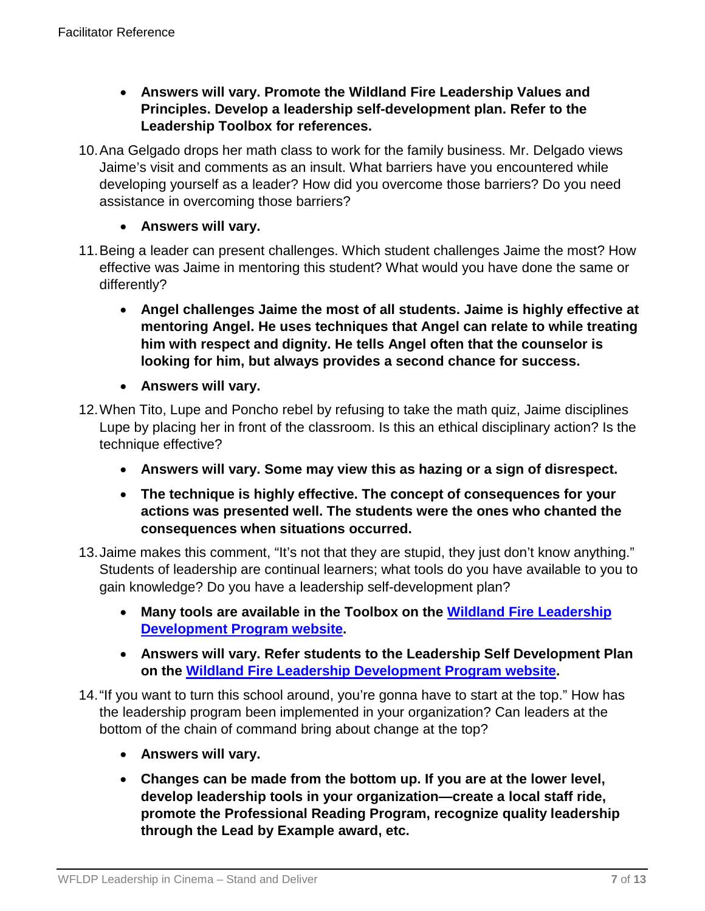- **Answers will vary. Promote the Wildland Fire Leadership Values and Principles. Develop a leadership self-development plan. Refer to the Leadership Toolbox for references.**
- 10.Ana Gelgado drops her math class to work for the family business. Mr. Delgado views Jaime's visit and comments as an insult. What barriers have you encountered while developing yourself as a leader? How did you overcome those barriers? Do you need assistance in overcoming those barriers?
	- **Answers will vary.**
- 11.Being a leader can present challenges. Which student challenges Jaime the most? How effective was Jaime in mentoring this student? What would you have done the same or differently?
	- **Angel challenges Jaime the most of all students. Jaime is highly effective at mentoring Angel. He uses techniques that Angel can relate to while treating him with respect and dignity. He tells Angel often that the counselor is looking for him, but always provides a second chance for success.**
	- **Answers will vary.**
- 12.When Tito, Lupe and Poncho rebel by refusing to take the math quiz, Jaime disciplines Lupe by placing her in front of the classroom. Is this an ethical disciplinary action? Is the technique effective?
	- **Answers will vary. Some may view this as hazing or a sign of disrespect.**
	- **The technique is highly effective. The concept of consequences for your actions was presented well. The students were the ones who chanted the consequences when situations occurred.**
- 13.Jaime makes this comment, "It's not that they are stupid, they just don't know anything." Students of leadership are continual learners; what tools do you have available to you to gain knowledge? Do you have a leadership self-development plan?
	- **Many tools are available in the Toolbox on the [Wildland Fire Leadership](https://www.fireleadership.gov/)  [Development Program website.](https://www.fireleadership.gov/)**
	- **Answers will vary. Refer students to the Leadership Self Development Plan on the [Wildland Fire Leadership Development Program website.](https://www.fireleadership.gov/)**
- 14."If you want to turn this school around, you're gonna have to start at the top." How has the leadership program been implemented in your organization? Can leaders at the bottom of the chain of command bring about change at the top?
	- **Answers will vary.**
	- **Changes can be made from the bottom up. If you are at the lower level, develop leadership tools in your organization—create a local staff ride, promote the Professional Reading Program, recognize quality leadership through the Lead by Example award, etc.**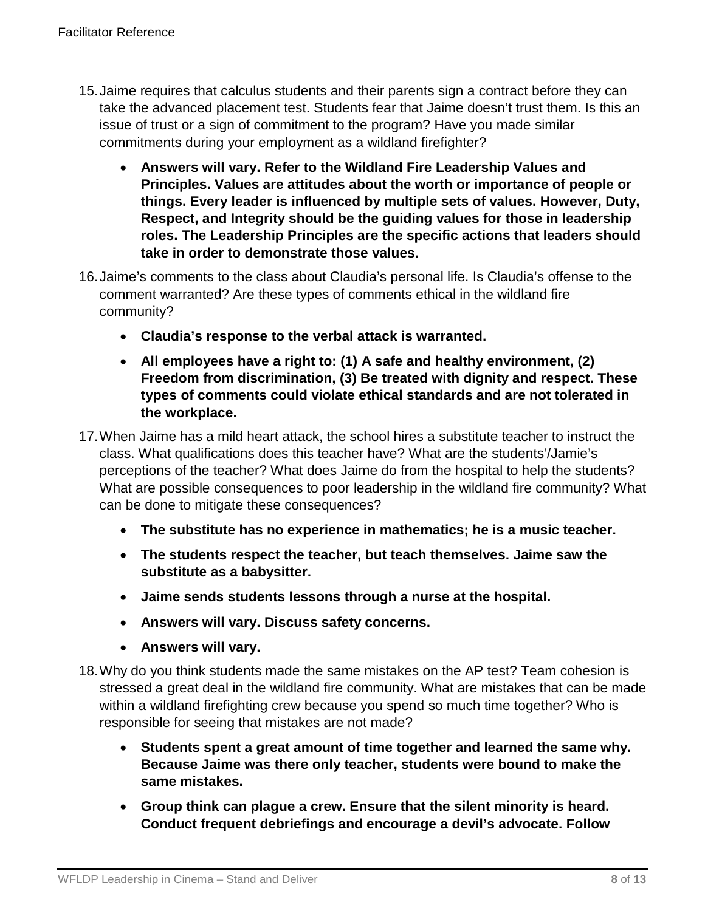- 15.Jaime requires that calculus students and their parents sign a contract before they can take the advanced placement test. Students fear that Jaime doesn't trust them. Is this an issue of trust or a sign of commitment to the program? Have you made similar commitments during your employment as a wildland firefighter?
	- **Answers will vary. Refer to the Wildland Fire Leadership Values and Principles. Values are attitudes about the worth or importance of people or things. Every leader is influenced by multiple sets of values. However, Duty, Respect, and Integrity should be the guiding values for those in leadership roles. The Leadership Principles are the specific actions that leaders should take in order to demonstrate those values.**
- 16.Jaime's comments to the class about Claudia's personal life. Is Claudia's offense to the comment warranted? Are these types of comments ethical in the wildland fire community?
	- **Claudia's response to the verbal attack is warranted.**
	- **All employees have a right to: (1) A safe and healthy environment, (2) Freedom from discrimination, (3) Be treated with dignity and respect. These types of comments could violate ethical standards and are not tolerated in the workplace.**
- 17.When Jaime has a mild heart attack, the school hires a substitute teacher to instruct the class. What qualifications does this teacher have? What are the students'/Jamie's perceptions of the teacher? What does Jaime do from the hospital to help the students? What are possible consequences to poor leadership in the wildland fire community? What can be done to mitigate these consequences?
	- **The substitute has no experience in mathematics; he is a music teacher.**
	- **The students respect the teacher, but teach themselves. Jaime saw the substitute as a babysitter.**
	- **Jaime sends students lessons through a nurse at the hospital.**
	- **Answers will vary. Discuss safety concerns.**
	- **Answers will vary.**
- 18.Why do you think students made the same mistakes on the AP test? Team cohesion is stressed a great deal in the wildland fire community. What are mistakes that can be made within a wildland firefighting crew because you spend so much time together? Who is responsible for seeing that mistakes are not made?
	- **Students spent a great amount of time together and learned the same why. Because Jaime was there only teacher, students were bound to make the same mistakes.**
	- **Group think can plague a crew. Ensure that the silent minority is heard. Conduct frequent debriefings and encourage a devil's advocate. Follow**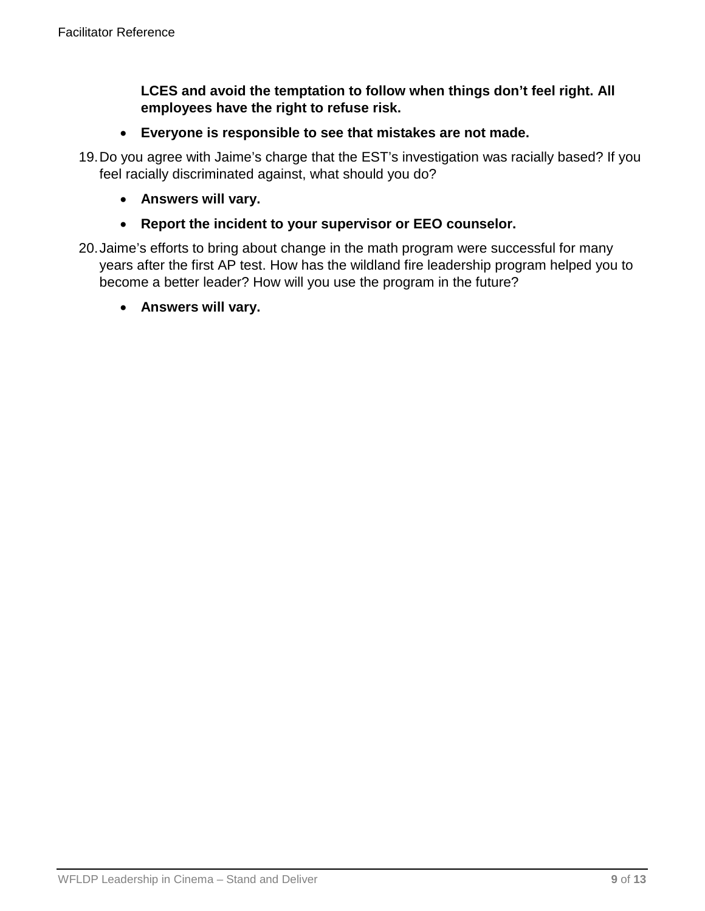**LCES and avoid the temptation to follow when things don't feel right. All employees have the right to refuse risk.**

- **Everyone is responsible to see that mistakes are not made.**
- 19.Do you agree with Jaime's charge that the EST's investigation was racially based? If you feel racially discriminated against, what should you do?
	- **Answers will vary.**
	- **Report the incident to your supervisor or EEO counselor.**
- 20.Jaime's efforts to bring about change in the math program were successful for many years after the first AP test. How has the wildland fire leadership program helped you to become a better leader? How will you use the program in the future?
	- **Answers will vary.**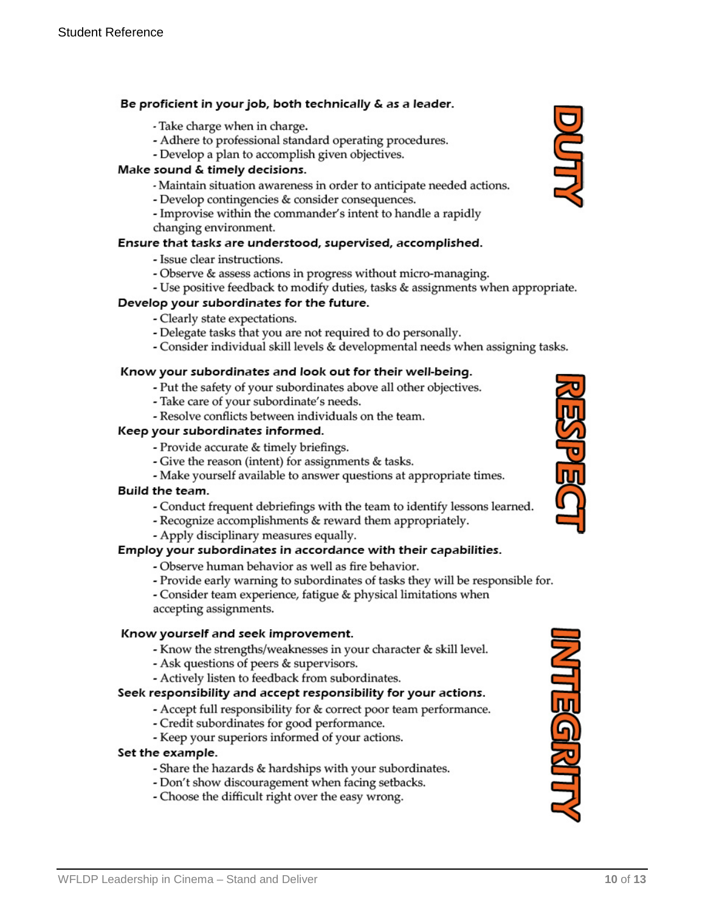#### Be proficient in your job, both technically & as a leader.

- Take charge when in charge.
- Adhere to professional standard operating procedures.
- Develop a plan to accomplish given objectives.

#### Make sound & timely decisions.

- Maintain situation awareness in order to anticipate needed actions.
- Develop contingencies & consider consequences.
- Improvise within the commander's intent to handle a rapidly changing environment.

#### Ensure that tasks are understood, supervised, accomplished.

- Issue clear instructions.
- Observe & assess actions in progress without micro-managing.
- Use positive feedback to modify duties, tasks & assignments when appropriate.

#### Develop your subordinates for the future.

- Clearly state expectations.
- Delegate tasks that you are not required to do personally.
- Consider individual skill levels & developmental needs when assigning tasks.

#### Know your subordinates and look out for their well-being.

- Put the safety of your subordinates above all other objectives.
- Take care of your subordinate's needs.
- Resolve conflicts between individuals on the team.

#### Keep your subordinates informed.

- Provide accurate & timely briefings.
- Give the reason (intent) for assignments & tasks.
- Make yourself available to answer questions at appropriate times.

#### Build the team.

- Conduct frequent debriefings with the team to identify lessons learned.
- Recognize accomplishments & reward them appropriately.
- Apply disciplinary measures equally.

#### Employ your subordinates in accordance with their capabilities.

- Observe human behavior as well as fire behavior.
- Provide early warning to subordinates of tasks they will be responsible for.
- Consider team experience, fatigue & physical limitations when accepting assignments.

#### Know yourself and seek improvement.

- Know the strengths/weaknesses in your character & skill level.
- Ask questions of peers & supervisors.
- Actively listen to feedback from subordinates.

#### Seek responsibility and accept responsibility for your actions.

- Accept full responsibility for & correct poor team performance.
- Credit subordinates for good performance.
- Keep your superiors informed of your actions.

#### Set the example.

- Share the hazards & hardships with your subordinates.
- Don't show discouragement when facing setbacks.
- Choose the difficult right over the easy wrong.





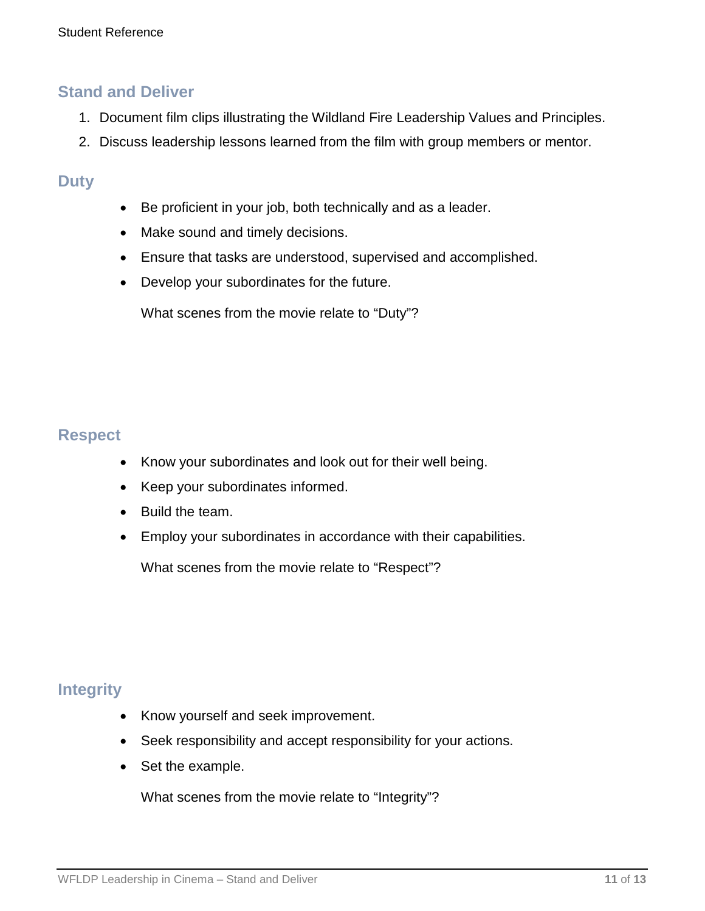- 1. Document film clips illustrating the Wildland Fire Leadership Values and Principles.
- 2. Discuss leadership lessons learned from the film with group members or mentor.

### **Duty**

- Be proficient in your job, both technically and as a leader.
- Make sound and timely decisions.
- Ensure that tasks are understood, supervised and accomplished.
- Develop your subordinates for the future.

What scenes from the movie relate to "Duty"?

### **Respect**

- Know your subordinates and look out for their well being.
- Keep your subordinates informed.
- Build the team.
- Employ your subordinates in accordance with their capabilities.

What scenes from the movie relate to "Respect"?

### **Integrity**

- Know yourself and seek improvement.
- Seek responsibility and accept responsibility for your actions.
- Set the example.

What scenes from the movie relate to "Integrity"?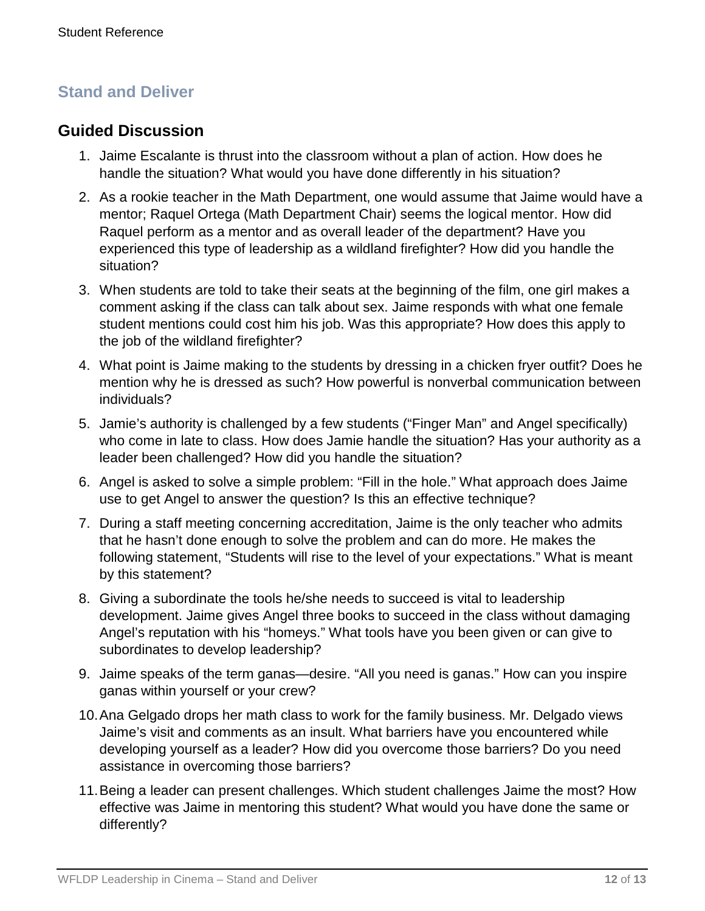### **Guided Discussion**

- 1. Jaime Escalante is thrust into the classroom without a plan of action. How does he handle the situation? What would you have done differently in his situation?
- 2. As a rookie teacher in the Math Department, one would assume that Jaime would have a mentor; Raquel Ortega (Math Department Chair) seems the logical mentor. How did Raquel perform as a mentor and as overall leader of the department? Have you experienced this type of leadership as a wildland firefighter? How did you handle the situation?
- 3. When students are told to take their seats at the beginning of the film, one girl makes a comment asking if the class can talk about sex. Jaime responds with what one female student mentions could cost him his job. Was this appropriate? How does this apply to the job of the wildland firefighter?
- 4. What point is Jaime making to the students by dressing in a chicken fryer outfit? Does he mention why he is dressed as such? How powerful is nonverbal communication between individuals?
- 5. Jamie's authority is challenged by a few students ("Finger Man" and Angel specifically) who come in late to class. How does Jamie handle the situation? Has your authority as a leader been challenged? How did you handle the situation?
- 6. Angel is asked to solve a simple problem: "Fill in the hole." What approach does Jaime use to get Angel to answer the question? Is this an effective technique?
- 7. During a staff meeting concerning accreditation, Jaime is the only teacher who admits that he hasn't done enough to solve the problem and can do more. He makes the following statement, "Students will rise to the level of your expectations." What is meant by this statement?
- 8. Giving a subordinate the tools he/she needs to succeed is vital to leadership development. Jaime gives Angel three books to succeed in the class without damaging Angel's reputation with his "homeys." What tools have you been given or can give to subordinates to develop leadership?
- 9. Jaime speaks of the term ganas—desire. "All you need is ganas." How can you inspire ganas within yourself or your crew?
- 10.Ana Gelgado drops her math class to work for the family business. Mr. Delgado views Jaime's visit and comments as an insult. What barriers have you encountered while developing yourself as a leader? How did you overcome those barriers? Do you need assistance in overcoming those barriers?
- 11.Being a leader can present challenges. Which student challenges Jaime the most? How effective was Jaime in mentoring this student? What would you have done the same or differently?